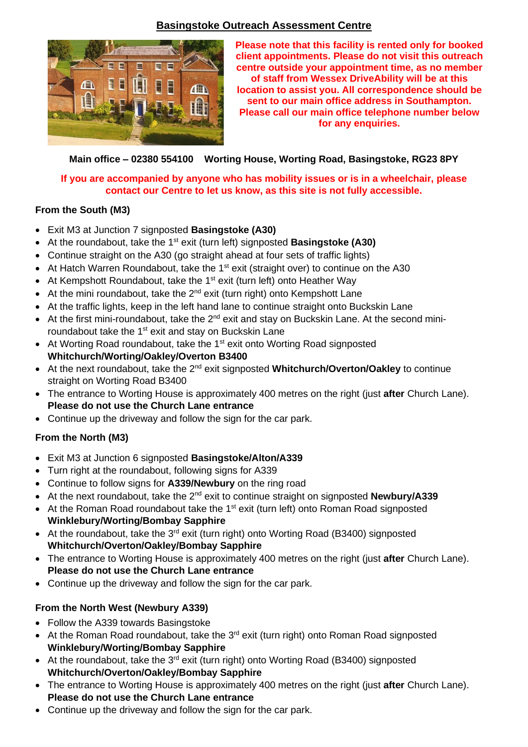# **Basingstoke Outreach Assessment Centre**



**Please note that this facility is rented only for booked client appointments. Please do not visit this outreach centre outside your appointment time, as no member of staff from Wessex DriveAbility will be at this location to assist you. All correspondence should be sent to our main office address in Southampton. Please call our main office telephone number below for any enquiries.**

### **Main office – 02380 554100 Worting House, Worting Road, Basingstoke, RG23 8PY**

#### **If you are accompanied by anyone who has mobility issues or is in a wheelchair, please contact our Centre to let us know, as this site is not fully accessible.**

### **From the South (M3)**

- Exit M3 at Junction 7 signposted **Basingstoke (A30)**
- At the roundabout, take the 1<sup>st</sup> exit (turn left) signposted **Basingstoke (A30)**
- Continue straight on the A30 (go straight ahead at four sets of traffic lights)
- At Hatch Warren Roundabout, take the 1<sup>st</sup> exit (straight over) to continue on the A30
- At Kempshott Roundabout, take the 1<sup>st</sup> exit (turn left) onto Heather Way
- At the mini roundabout, take the  $2^{nd}$  exit (turn right) onto Kempshott Lane
- At the traffic lights, keep in the left hand lane to continue straight onto Buckskin Lane
- At the first mini-roundabout, take the  $2^{nd}$  exit and stay on Buckskin Lane. At the second miniroundabout take the 1<sup>st</sup> exit and stay on Buckskin Lane
- At Worting Road roundabout, take the 1<sup>st</sup> exit onto Worting Road signposted **Whitchurch/Worting/Oakley/Overton B3400**
- At the next roundabout, take the 2<sup>nd</sup> exit signposted Whitchurch/Overton/Oakley to continue straight on Worting Road B3400
- The entrance to Worting House is approximately 400 metres on the right (just **after** Church Lane). **Please do not use the Church Lane entrance**
- Continue up the driveway and follow the sign for the car park.

# **From the North (M3)**

- Exit M3 at Junction 6 signposted **Basingstoke/Alton/A339**
- Turn right at the roundabout, following signs for A339
- Continue to follow signs for **A339/Newbury** on the ring road
- At the next roundabout, take the 2<sup>nd</sup> exit to continue straight on signposted **Newbury/A339**
- At the Roman Road roundabout take the  $1<sup>st</sup>$  exit (turn left) onto Roman Road signposted **Winklebury/Worting/Bombay Sapphire**
- At the roundabout, take the  $3<sup>rd</sup>$  exit (turn right) onto Worting Road (B3400) signposted **Whitchurch/Overton/Oakley/Bombay Sapphire**
- The entrance to Worting House is approximately 400 metres on the right (just **after** Church Lane). **Please do not use the Church Lane entrance**
- Continue up the driveway and follow the sign for the car park.

# **From the North West (Newbury A339)**

- Follow the A339 towards Basingstoke
- At the Roman Road roundabout, take the  $3<sup>rd</sup>$  exit (turn right) onto Roman Road signposted **Winklebury/Worting/Bombay Sapphire**
- At the roundabout, take the  $3^{rd}$  exit (turn right) onto Worting Road (B3400) signposted **Whitchurch/Overton/Oakley/Bombay Sapphire**
- The entrance to Worting House is approximately 400 metres on the right (just **after** Church Lane). **Please do not use the Church Lane entrance**
- Continue up the driveway and follow the sign for the car park.